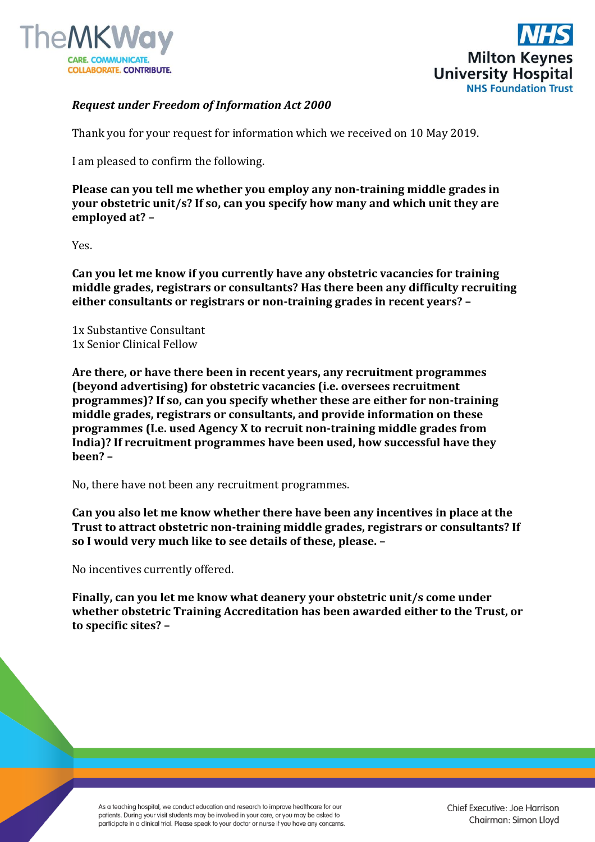



## *Request under Freedom of Information Act 2000*

Thank you for your request for information which we received on 10 May 2019.

I am pleased to confirm the following.

**Please can you tell me whether you employ any non-training middle grades in your obstetric unit/s? If so, can you specify how many and which unit they are employed at? –**

Yes.

**Can you let me know if you currently have any obstetric vacancies for training middle grades, registrars or consultants? Has there been any difficulty recruiting either consultants or registrars or non-training grades in recent years? –**

1x Substantive Consultant 1x Senior Clinical Fellow

**Are there, or have there been in recent years, any recruitment programmes (beyond advertising) for obstetric vacancies (i.e. oversees recruitment programmes)? If so, can you specify whether these are either for non-training middle grades, registrars or consultants, and provide information on these programmes (I.e. used Agency X to recruit non-training middle grades from India)? If recruitment programmes have been used, how successful have they been? –**

No, there have not been any recruitment programmes.

**Can you also let me know whether there have been any incentives in place at the Trust to attract obstetric non-training middle grades, registrars or consultants? If so I would very much like to see details of these, please. –**

No incentives currently offered.

**Finally, can you let me know what deanery your obstetric unit/s come under whether obstetric Training Accreditation has been awarded either to the Trust, or to specific sites? –**

As a teaching hospital, we conduct education and research to improve healthcare for our patients. During your visit students may be involved in your care, or you may be asked to participate in a clinical trial. Please speak to your doctor or nurse if you have any concerns. Chief Executive: Joe Harrison Chairman: Simon Lloyd